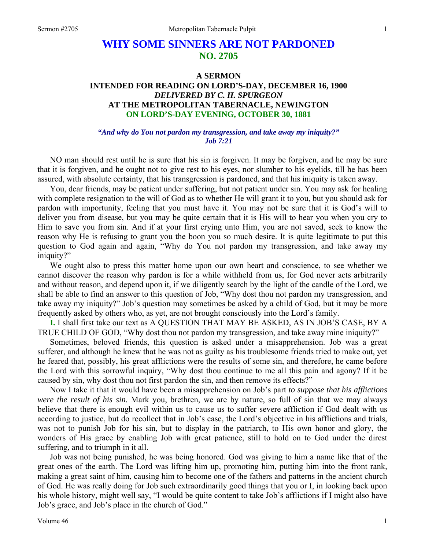# **WHY SOME SINNERS ARE NOT PARDONED NO. 2705**

# **A SERMON INTENDED FOR READING ON LORD'S-DAY, DECEMBER 16, 1900**  *DELIVERED BY C. H. SPURGEON*  **AT THE METROPOLITAN TABERNACLE, NEWINGTON ON LORD'S-DAY EVENING, OCTOBER 30, 1881**

#### *"And why do You not pardon my transgression, and take away my iniquity?" Job 7:21*

NO man should rest until he is sure that his sin is forgiven. It may be forgiven, and he may be sure that it is forgiven, and he ought not to give rest to his eyes, nor slumber to his eyelids, till he has been assured, with absolute certainty, that his transgression is pardoned, and that his iniquity is taken away.

You, dear friends, may be patient under suffering, but not patient under sin. You may ask for healing with complete resignation to the will of God as to whether He will grant it to you, but you should ask for pardon with importunity, feeling that you must have it. You may not be sure that it is God's will to deliver you from disease, but you may be quite certain that it is His will to hear you when you cry to Him to save you from sin. And if at your first crying unto Him, you are not saved, seek to know the reason why He is refusing to grant you the boon you so much desire. It is quite legitimate to put this question to God again and again, "Why do You not pardon my transgression, and take away my iniquity?"

We ought also to press this matter home upon our own heart and conscience, to see whether we cannot discover the reason why pardon is for a while withheld from us, for God never acts arbitrarily and without reason, and depend upon it, if we diligently search by the light of the candle of the Lord, we shall be able to find an answer to this question of Job, "Why dost thou not pardon my transgression, and take away my iniquity?" Job's question may sometimes be asked by a child of God, but it may be more frequently asked by others who, as yet, are not brought consciously into the Lord's family.

**I.** I shall first take our text as A QUESTION THAT MAY BE ASKED, AS IN JOB'S CASE, BY A TRUE CHILD OF GOD, "Why dost thou not pardon my transgression, and take away mine iniquity?"

Sometimes, beloved friends, this question is asked under a misapprehension. Job was a great sufferer, and although he knew that he was not as guilty as his troublesome friends tried to make out, yet he feared that, possibly, his great afflictions were the results of some sin, and therefore, he came before the Lord with this sorrowful inquiry, "Why dost thou continue to me all this pain and agony? If it be caused by sin, why dost thou not first pardon the sin, and then remove its effects?"

Now I take it that it would have been a misapprehension on Job's part *to suppose that his afflictions were the result of his sin.* Mark you, brethren, we are by nature, so full of sin that we may always believe that there is enough evil within us to cause us to suffer severe affliction if God dealt with us according to justice, but do recollect that in Job's case, the Lord's objective in his afflictions and trials, was not to punish Job for his sin, but to display in the patriarch, to His own honor and glory, the wonders of His grace by enabling Job with great patience, still to hold on to God under the direst suffering, and to triumph in it all.

Job was not being punished, he was being honored. God was giving to him a name like that of the great ones of the earth. The Lord was lifting him up, promoting him, putting him into the front rank, making a great saint of him, causing him to become one of the fathers and patterns in the ancient church of God. He was really doing for Job such extraordinarily good things that you or I, in looking back upon his whole history, might well say, "I would be quite content to take Job's afflictions if I might also have Job's grace, and Job's place in the church of God."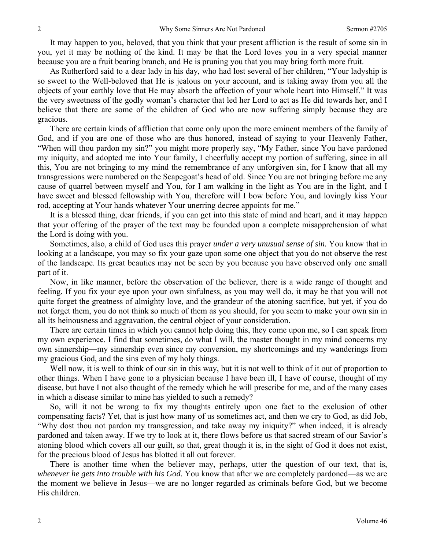It may happen to you, beloved, that you think that your present affliction is the result of some sin in you, yet it may be nothing of the kind. It may be that the Lord loves you in a very special manner because you are a fruit bearing branch, and He is pruning you that you may bring forth more fruit.

As Rutherford said to a dear lady in his day, who had lost several of her children, "Your ladyship is so sweet to the Well-beloved that He is jealous on your account, and is taking away from you all the objects of your earthly love that He may absorb the affection of your whole heart into Himself." It was the very sweetness of the godly woman's character that led her Lord to act as He did towards her, and I believe that there are some of the children of God who are now suffering simply because they are gracious.

There are certain kinds of affliction that come only upon the more eminent members of the family of God, and if you are one of those who are thus honored, instead of saying to your Heavenly Father, "When will thou pardon my sin?" you might more properly say, "My Father, since You have pardoned my iniquity, and adopted me into Your family, I cheerfully accept my portion of suffering, since in all this, You are not bringing to my mind the remembrance of any unforgiven sin, for I know that all my transgressions were numbered on the Scapegoat's head of old. Since You are not bringing before me any cause of quarrel between myself and You, for I am walking in the light as You are in the light, and I have sweet and blessed fellowship with You, therefore will I bow before You, and lovingly kiss Your rod, accepting at Your hands whatever Your unerring decree appoints for me."

It is a blessed thing, dear friends, if you can get into this state of mind and heart, and it may happen that your offering of the prayer of the text may be founded upon a complete misapprehension of what the Lord is doing with you.

Sometimes, also, a child of God uses this prayer *under a very unusual sense of sin.* You know that in looking at a landscape, you may so fix your gaze upon some one object that you do not observe the rest of the landscape. Its great beauties may not be seen by you because you have observed only one small part of it.

Now, in like manner, before the observation of the believer, there is a wide range of thought and feeling. If you fix your eye upon your own sinfulness, as you may well do, it may be that you will not quite forget the greatness of almighty love, and the grandeur of the atoning sacrifice, but yet, if you do not forget them, you do not think so much of them as you should, for you seem to make your own sin in all its heinousness and aggravation, the central object of your consideration.

There are certain times in which you cannot help doing this, they come upon me, so I can speak from my own experience. I find that sometimes, do what I will, the master thought in my mind concerns my own sinnership—my sinnership even since my conversion, my shortcomings and my wanderings from my gracious God, and the sins even of my holy things.

Well now, it is well to think of our sin in this way, but it is not well to think of it out of proportion to other things. When I have gone to a physician because I have been ill, I have of course, thought of my disease, but have I not also thought of the remedy which he will prescribe for me, and of the many cases in which a disease similar to mine has yielded to such a remedy?

So, will it not be wrong to fix my thoughts entirely upon one fact to the exclusion of other compensating facts? Yet, that is just how many of us sometimes act, and then we cry to God, as did Job, "Why dost thou not pardon my transgression, and take away my iniquity?" when indeed, it is already pardoned and taken away. If we try to look at it, there flows before us that sacred stream of our Savior's atoning blood which covers all our guilt, so that, great though it is, in the sight of God it does not exist, for the precious blood of Jesus has blotted it all out forever.

There is another time when the believer may, perhaps, utter the question of our text, that is, *whenever he gets into trouble with his God.* You know that after we are completely pardoned—as we are the moment we believe in Jesus—we are no longer regarded as criminals before God, but we become His children.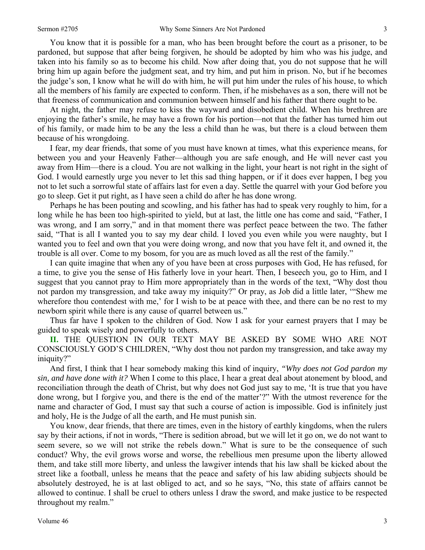You know that it is possible for a man, who has been brought before the court as a prisoner, to be pardoned, but suppose that after being forgiven, he should be adopted by him who was his judge, and taken into his family so as to become his child. Now after doing that, you do not suppose that he will bring him up again before the judgment seat, and try him, and put him in prison. No, but if he becomes the judge's son, I know what he will do with him, he will put him under the rules of his house, to which all the members of his family are expected to conform. Then, if he misbehaves as a son, there will not be that freeness of communication and communion between himself and his father that there ought to be.

At night, the father may refuse to kiss the wayward and disobedient child. When his brethren are enjoying the father's smile, he may have a frown for his portion—not that the father has turned him out of his family, or made him to be any the less a child than he was, but there is a cloud between them because of his wrongdoing.

I fear, my dear friends, that some of you must have known at times, what this experience means, for between you and your Heavenly Father—although you are safe enough, and He will never cast you away from Him—there is a cloud. You are not walking in the light, your heart is not right in the sight of God. I would earnestly urge you never to let this sad thing happen, or if it does ever happen, I beg you not to let such a sorrowful state of affairs last for even a day. Settle the quarrel with your God before you go to sleep. Get it put right, as I have seen a child do after he has done wrong.

Perhaps he has been pouting and scowling, and his father has had to speak very roughly to him, for a long while he has been too high-spirited to yield, but at last, the little one has come and said, "Father, I was wrong, and I am sorry," and in that moment there was perfect peace between the two. The father said, "That is all I wanted you to say my dear child. I loved you even while you were naughty, but I wanted you to feel and own that you were doing wrong, and now that you have felt it, and owned it, the trouble is all over. Come to my bosom, for you are as much loved as all the rest of the family."

I can quite imagine that when any of you have been at cross purposes with God, He has refused, for a time, to give you the sense of His fatherly love in your heart. Then, I beseech you, go to Him, and I suggest that you cannot pray to Him more appropriately than in the words of the text, "Why dost thou not pardon my transgression, and take away my iniquity?" Or pray, as Job did a little later, '"Shew me wherefore thou contendest with me,' for I wish to be at peace with thee, and there can be no rest to my newborn spirit while there is any cause of quarrel between us."

Thus far have I spoken to the children of God. Now I ask for your earnest prayers that I may be guided to speak wisely and powerfully to others.

**II.** THE QUESTION IN OUR TEXT MAY BE ASKED BY SOME WHO ARE NOT CONSCIOUSLY GOD'S CHILDREN, "Why dost thou not pardon my transgression, and take away my iniquity?"

And first, I think that I hear somebody making this kind of inquiry, *"Why does not God pardon my sin, and have done with it?* When I come to this place, I hear a great deal about atonement by blood, and reconciliation through the death of Christ, but why does not God just say to me, 'It is true that you have done wrong, but I forgive you, and there is the end of the matter'?" With the utmost reverence for the name and character of God, I must say that such a course of action is impossible. God is infinitely just and holy, He is the Judge of all the earth, and He must punish sin.

You know, dear friends, that there are times, even in the history of earthly kingdoms, when the rulers say by their actions, if not in words, "There is sedition abroad, but we will let it go on, we do not want to seem severe, so we will not strike the rebels down." What is sure to be the consequence of such conduct? Why, the evil grows worse and worse, the rebellious men presume upon the liberty allowed them, and take still more liberty, and unless the lawgiver intends that his law shall be kicked about the street like a football, unless he means that the peace and safety of his law abiding subjects should be absolutely destroyed, he is at last obliged to act, and so he says, "No, this state of affairs cannot be allowed to continue. I shall be cruel to others unless I draw the sword, and make justice to be respected throughout my realm."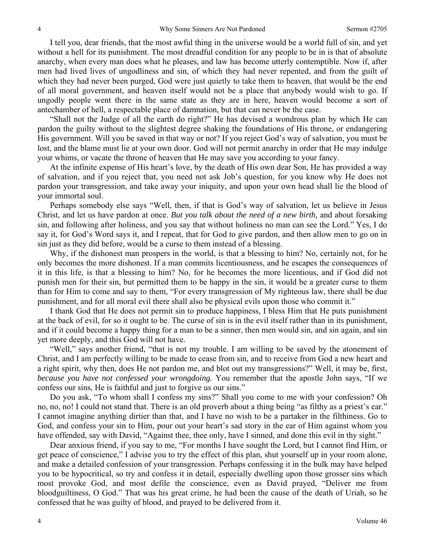I tell you, dear friends, that the most awful thing in the universe would be a world full of sin, and yet without a hell for its punishment. The most dreadful condition for any people to be in is that of absolute anarchy, when every man does what he pleases, and law has become utterly contemptible. Now if, after men had lived lives of ungodliness and sin, of which they had never repented, and from the guilt of which they had never been purged, God were just quietly to take them to heaven, that would be the end of all moral government, and heaven itself would not be a place that anybody would wish to go. If ungodly people went there in the same state as they are in here, heaven would become a sort of antechamber of hell, a respectable place of damnation, but that can never be the case.

"Shall not the Judge of all the earth do right?" He has devised a wondrous plan by which He can pardon the guilty without to the slightest degree shaking the foundations of His throne, or endangering His government. Will you be saved in that way or not? If you reject God's way of salvation, you must be lost, and the blame must lie at your own door. God will not permit anarchy in order that He may indulge your whims, or vacate the throne of heaven that He may save you according to your fancy.

At the infinite expense of His heart's love, by the death of His own dear Son, He has provided a way of salvation, and if you reject that, you need not ask Job's question, for you know why He does not pardon your transgression, and take away your iniquity, and upon your own head shall lie the blood of your immortal soul.

Perhaps somebody else says "Well, then, if that is God's way of salvation, let us believe in Jesus Christ, and let us have pardon at once. *But you talk about the need of a new birth,* and about forsaking sin, and following after holiness, and you say that without holiness no man can see the Lord." Yes, I do say it, for God's Word says it, and I repeat, that for God to give pardon, and then allow men to go on in sin just as they did before, would be a curse to them instead of a blessing.

Why, if the dishonest man prospers in the world, is that a blessing to him? No, certainly not, for he only becomes the more dishonest. If a man commits licentiousness, and he escapes the consequences of it in this life, is that a blessing to him? No, for he becomes the more licentious, and if God did not punish men for their sin, but permitted them to be happy in the sin, it would be a greater curse to them than for Him to come and say to them, "For every transgression of My righteous law, there shall be due punishment, and for all moral evil there shall also be physical evils upon those who commit it."

I thank God that He does not permit sin to produce happiness, I bless Him that He puts punishment at the back of evil, for so it ought to be. The curse of sin is in the evil itself rather than in its punishment, and if it could become a happy thing for a man to be a sinner, then men would sin, and sin again, and sin yet more deeply, and this God will not have.

"Well," says another friend, "that is not my trouble. I am willing to be saved by the atonement of Christ, and I am perfectly willing to be made to cease from sin, and to receive from God a new heart and a right spirit, why then, does He not pardon me, and blot out my transgressions?" Well, it may be, first, *because you have not confessed your wrongdoing.* You remember that the apostle John says, "If we confess our sins, He is faithful and just to forgive us our sins."

Do you ask, "To whom shall I confess my sins?" Shall you come to me with your confession? Oh no, no, no! I could not stand that. There is an old proverb about a thing being "as filthy as a priest's ear." I cannot imagine anything dirtier than that, and I have no wish to be a partaker in the filthiness. Go to God, and confess your sin to Him, pour out your heart's sad story in the ear of Him against whom you have offended, say with David, "Against thee, thee only, have I sinned, and done this evil in thy sight."

Dear anxious friend, if you say to me, "For months I have sought the Lord, but I cannot find Him, or get peace of conscience," I advise you to try the effect of this plan, shut yourself up in your room alone, and make a detailed confession of your transgression. Perhaps confessing it in the bulk may have helped you to be hypocritical, so try and confess it in detail, especially dwelling upon those grosser sins which most provoke God, and most defile the conscience, even as David prayed, "Deliver me from bloodguiltiness, O God." That was his great crime, he had been the cause of the death of Uriah, so he confessed that he was guilty of blood, and prayed to be delivered from it.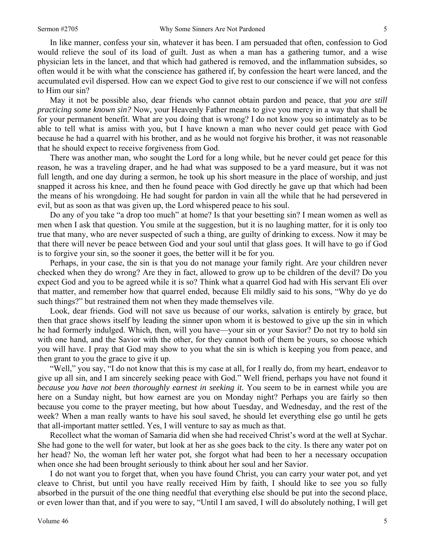In like manner, confess your sin, whatever it has been. I am persuaded that often, confession to God would relieve the soul of its load of guilt. Just as when a man has a gathering tumor, and a wise physician lets in the lancet, and that which had gathered is removed, and the inflammation subsides, so often would it be with what the conscience has gathered if, by confession the heart were lanced, and the accumulated evil dispersed. How can we expect God to give rest to our conscience if we will not confess to Him our sin?

May it not be possible also, dear friends who cannot obtain pardon and peace, that *you are still practicing some known sin?* Now, your Heavenly Father means to give you mercy in a way that shall be for your permanent benefit. What are you doing that is wrong? I do not know you so intimately as to be able to tell what is amiss with you, but I have known a man who never could get peace with God because he had a quarrel with his brother, and as he would not forgive his brother, it was not reasonable that he should expect to receive forgiveness from God.

There was another man, who sought the Lord for a long while, but he never could get peace for this reason, he was a traveling draper, and he had what was supposed to be a yard measure, but it was not full length, and one day during a sermon, he took up his short measure in the place of worship, and just snapped it across his knee, and then he found peace with God directly he gave up that which had been the means of his wrongdoing. He had sought for pardon in vain all the while that he had persevered in evil, but as soon as that was given up, the Lord whispered peace to his soul.

Do any of you take "a drop too much" at home? Is that your besetting sin? I mean women as well as men when I ask that question. You smile at the suggestion, but it is no laughing matter, for it is only too true that many, who are never suspected of such a thing, are guilty of drinking to excess. Now it may be that there will never be peace between God and your soul until that glass goes. It will have to go if God is to forgive your sin, so the sooner it goes, the better will it be for you.

Perhaps, in your case, the sin is that you do not manage your family right. Are your children never checked when they do wrong? Are they in fact, allowed to grow up to be children of the devil? Do you expect God and you to be agreed while it is so? Think what a quarrel God had with His servant Eli over that matter, and remember how that quarrel ended, because Eli mildly said to his sons, "Why do ye do such things?" but restrained them not when they made themselves vile.

Look, dear friends. God will not save us because of our works, salvation is entirely by grace, but then that grace shows itself by leading the sinner upon whom it is bestowed to give up the sin in which he had formerly indulged. Which, then, will you have—your sin or your Savior? Do not try to hold sin with one hand, and the Savior with the other, for they cannot both of them be yours, so choose which you will have. I pray that God may show to you what the sin is which is keeping you from peace, and then grant to you the grace to give it up.

"Well," you say, "I do not know that this is my case at all, for I really do, from my heart, endeavor to give up all sin, and I am sincerely seeking peace with God." Well friend, perhaps you have not found it *because you have not been thoroughly earnest in seeking it.* You seem to be in earnest while you are here on a Sunday night, but how earnest are you on Monday night? Perhaps you are fairly so then because you come to the prayer meeting, but how about Tuesday, and Wednesday, and the rest of the week? When a man really wants to have his soul saved, he should let everything else go until he gets that all-important matter settled. Yes, I will venture to say as much as that.

Recollect what the woman of Samaria did when she had received Christ's word at the well at Sychar. She had gone to the well for water, but look at her as she goes back to the city. Is there any water pot on her head? No, the woman left her water pot, she forgot what had been to her a necessary occupation when once she had been brought seriously to think about her soul and her Savior.

I do not want you to forget that, when you have found Christ, you can carry your water pot, and yet cleave to Christ, but until you have really received Him by faith, I should like to see you so fully absorbed in the pursuit of the one thing needful that everything else should be put into the second place, or even lower than that, and if you were to say, "Until I am saved, I will do absolutely nothing, I will get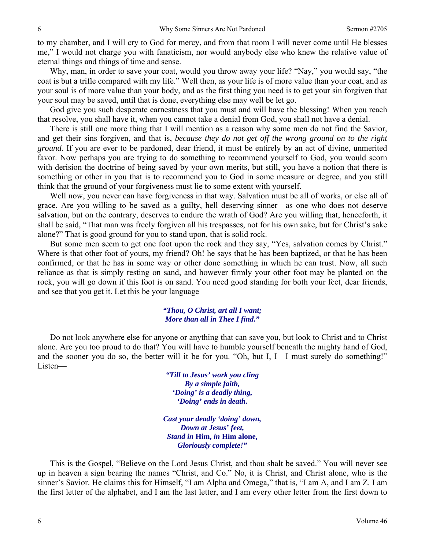to my chamber, and I will cry to God for mercy, and from that room I will never come until He blesses me," I would not charge you with fanaticism, nor would anybody else who knew the relative value of eternal things and things of time and sense.

Why, man, in order to save your coat, would you throw away your life? "Nay," you would say, "the coat is but a trifle compared with my life." Well then, as your life is of more value than your coat, and as your soul is of more value than your body, and as the first thing you need is to get your sin forgiven that your soul may be saved, until that is done, everything else may well be let go.

God give you such desperate earnestness that you must and will have the blessing! When you reach that resolve, you shall have it, when you cannot take a denial from God, you shall not have a denial.

There is still one more thing that I will mention as a reason why some men do not find the Savior, and get their sins forgiven, and that is, *because they do not get off the wrong ground on to the right ground.* If you are ever to be pardoned, dear friend, it must be entirely by an act of divine, unmerited favor. Now perhaps you are trying to do something to recommend yourself to God, you would scorn with derision the doctrine of being saved by your own merits, but still, you have a notion that there is something or other in you that is to recommend you to God in some measure or degree, and you still think that the ground of your forgiveness must lie to some extent with yourself.

Well now, you never can have forgiveness in that way. Salvation must be all of works, or else all of grace. Are you willing to be saved as a guilty, hell deserving sinner—as one who does not deserve salvation, but on the contrary, deserves to endure the wrath of God? Are you willing that, henceforth, it shall be said, "That man was freely forgiven all his trespasses, not for his own sake, but for Christ's sake alone?" That is good ground for you to stand upon, that is solid rock.

But some men seem to get one foot upon the rock and they say, "Yes, salvation comes by Christ." Where is that other foot of yours, my friend? Oh! he says that he has been baptized, or that he has been confirmed, or that he has in some way or other done something in which he can trust. Now, all such reliance as that is simply resting on sand, and however firmly your other foot may be planted on the rock, you will go down if this foot is on sand. You need good standing for both your feet, dear friends, and see that you get it. Let this be your language—

#### *"Thou, O Christ, art all I want; More than all in Thee I find."*

Do not look anywhere else for anyone or anything that can save you, but look to Christ and to Christ alone. Are you too proud to do that? You will have to humble yourself beneath the mighty hand of God, and the sooner you do so, the better will it be for you. "Oh, but I, I—I must surely do something!" Listen—

> *"Till to Jesus' work you cling By a simple faith, 'Doing' is a deadly thing, 'Doing' ends in death.*

*Cast your deadly 'doing' down, Down at Jesus' feet, Stand in* **Him,** *in* **Him alone,** *Gloriously complete!"* 

This is the Gospel, "Believe on the Lord Jesus Christ, and thou shalt be saved." You will never see up in heaven a sign bearing the names "Christ, and Co." No, it is Christ, and Christ alone, who is the sinner's Savior. He claims this for Himself, "I am Alpha and Omega," that is, "I am A, and I am Z. I am the first letter of the alphabet, and I am the last letter, and I am every other letter from the first down to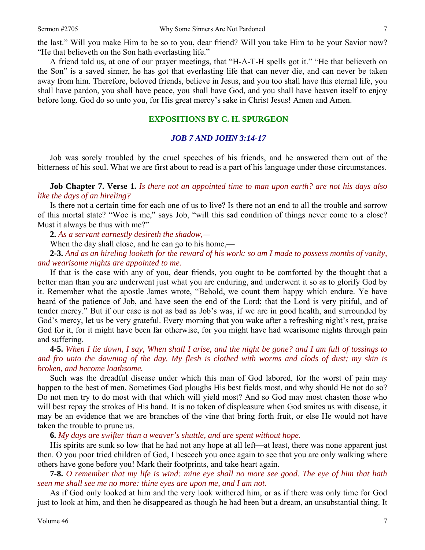A friend told us, at one of our prayer meetings, that "H-A-T-H spells got it." "He that believeth on the Son" is a saved sinner, he has got that everlasting life that can never die, and can never be taken away from him. Therefore, beloved friends, believe in Jesus, and you too shall have this eternal life, you shall have pardon, you shall have peace, you shall have God, and you shall have heaven itself to enjoy before long. God do so unto you, for His great mercy's sake in Christ Jesus! Amen and Amen.

### **EXPOSITIONS BY C. H. SPURGEON**

#### *JOB 7 AND JOHN 3:14-17*

Job was sorely troubled by the cruel speeches of his friends, and he answered them out of the bitterness of his soul. What we are first about to read is a part of his language under those circumstances.

**Job Chapter 7. Verse 1.** *Is there not an appointed time to man upon earth? are not his days also like the days of an hireling?* 

Is there not a certain time for each one of us to live? Is there not an end to all the trouble and sorrow of this mortal state? "Woe is me," says Job, "will this sad condition of things never come to a close? Must it always be thus with me?"

**2.** *As a servant earnestly desireth the shadow,—* 

When the day shall close, and he can go to his home,—

**2-3.** *And as an hireling looketh for the reward of his work: so am I made to possess months of vanity, and wearisome nights are appointed to me.* 

If that is the case with any of you, dear friends, you ought to be comforted by the thought that a better man than you are underwent just what you are enduring, and underwent it so as to glorify God by it. Remember what the apostle James wrote, "Behold, we count them happy which endure. Ye have heard of the patience of Job, and have seen the end of the Lord; that the Lord is very pitiful, and of tender mercy." But if our case is not as bad as Job's was, if we are in good health, and surrounded by God's mercy, let us be very grateful. Every morning that you wake after a refreshing night's rest, praise God for it, for it might have been far otherwise, for you might have had wearisome nights through pain and suffering.

**4-5.** *When I lie down, I say, When shall I arise, and the night be gone? and I am full of tossings to and fro unto the dawning of the day. My flesh is clothed with worms and clods of dust; my skin is broken, and become loathsome.* 

Such was the dreadful disease under which this man of God labored, for the worst of pain may happen to the best of men. Sometimes God ploughs His best fields most, and why should He not do so? Do not men try to do most with that which will yield most? And so God may most chasten those who will best repay the strokes of His hand. It is no token of displeasure when God smites us with disease, it may be an evidence that we are branches of the vine that bring forth fruit, or else He would not have taken the trouble to prune us.

**6.** *My days are swifter than a weaver's shuttle, and are spent without hope.* 

His spirits are sunk so low that he had not any hope at all left—at least, there was none apparent just then. O you poor tried children of God, I beseech you once again to see that you are only walking where others have gone before you! Mark their footprints, and take heart again.

**7-8.** *O remember that my life is wind: mine eye shall no more see good. The eye of him that hath seen me shall see me no more: thine eyes are upon me, and I am not.* 

As if God only looked at him and the very look withered him, or as if there was only time for God just to look at him, and then he disappeared as though he had been but a dream, an unsubstantial thing. It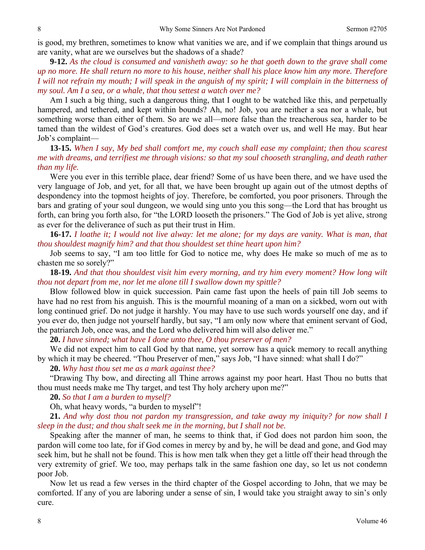is good, my brethren, sometimes to know what vanities we are, and if we complain that things around us are vanity, what are we ourselves but the shadows of a shade?

**9-12.** *As the cloud is consumed and vanisheth away: so he that goeth down to the grave shall come up no more. He shall return no more to his house, neither shall his place know him any more. Therefore I will not refrain my mouth; I will speak in the anguish of my spirit; I will complain in the bitterness of my soul. Am I a sea, or a whale, that thou settest a watch over me?* 

Am I such a big thing, such a dangerous thing, that I ought to be watched like this, and perpetually hampered, and tethered, and kept within bounds? Ah, no! Job, you are neither a sea nor a whale, but something worse than either of them. So are we all—more false than the treacherous sea, harder to be tamed than the wildest of God's creatures. God does set a watch over us, and well He may. But hear Job's complaint—

**13-15.** *When I say, My bed shall comfort me, my couch shall ease my complaint; then thou scarest me with dreams, and terrifiest me through visions: so that my soul chooseth strangling, and death rather than my life.* 

Were you ever in this terrible place, dear friend? Some of us have been there, and we have used the very language of Job, and yet, for all that, we have been brought up again out of the utmost depths of despondency into the topmost heights of joy. Therefore, be comforted, you poor prisoners. Through the bars and grating of your soul dungeon, we would sing unto you this song—the Lord that has brought us forth, can bring you forth also, for "the LORD looseth the prisoners." The God of Job is yet alive, strong as ever for the deliverance of such as put their trust in Him.

**16-17.** *I loathe it; I would not live alway: let me alone; for my days are vanity. What is man, that thou shouldest magnify him? and that thou shouldest set thine heart upon him?* 

Job seems to say, "I am too little for God to notice me, why does He make so much of me as to chasten me so sorely?"

**18-19.** *And that thou shouldest visit him every morning, and try him every moment? How long wilt thou not depart from me, nor let me alone till I swallow down my spittle?* 

Blow followed blow in quick succession. Pain came fast upon the heels of pain till Job seems to have had no rest from his anguish. This is the mournful moaning of a man on a sickbed, worn out with long continued grief. Do not judge it harshly. You may have to use such words yourself one day, and if you ever do, then judge not yourself hardly, but say, "I am only now where that eminent servant of God, the patriarch Job, once was, and the Lord who delivered him will also deliver me."

**20.** *I have sinned; what have I done unto thee, O thou preserver of men?* 

We did not expect him to call God by that name, yet sorrow has a quick memory to recall anything by which it may be cheered. "Thou Preserver of men," says Job, "I have sinned: what shall I do?"

**20.** *Why hast thou set me as a mark against thee?* 

"Drawing Thy bow, and directing all Thine arrows against my poor heart. Hast Thou no butts that thou must needs make me Thy target, and test Thy holy archery upon me?"

**20.** *So that I am a burden to myself?* 

Oh, what heavy words, "a burden to myself"!

**21.** *And why dost thou not pardon my transgression, and take away my iniquity? for now shall I sleep in the dust; and thou shalt seek me in the morning, but I shall not be.* 

Speaking after the manner of man, he seems to think that, if God does not pardon him soon, the pardon will come too late, for if God comes in mercy by and by, he will be dead and gone, and God may seek him, but he shall not be found. This is how men talk when they get a little off their head through the very extremity of grief. We too, may perhaps talk in the same fashion one day, so let us not condemn poor Job.

Now let us read a few verses in the third chapter of the Gospel according to John, that we may be comforted. If any of you are laboring under a sense of sin, I would take you straight away to sin's only cure.